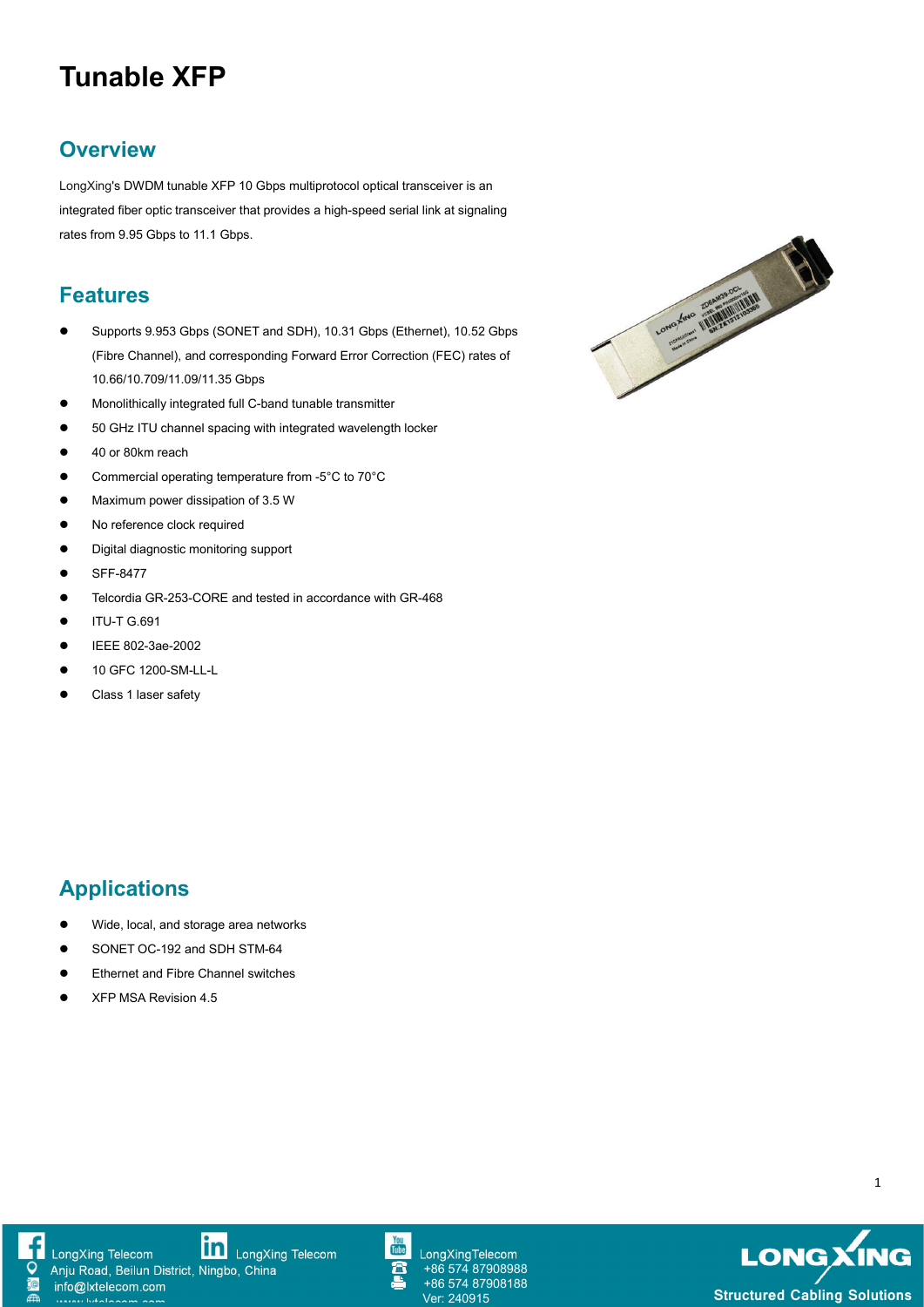# **Tunable XFP**

### **Overview**

LongXing's DWDM tunable XFP 10 Gbps multiprotocol optical transceiver is an integrated fiber optic transceiver that provides a high-speed serial link at signaling rates from 9.95 Gbps to 11.1 Gbps.

### **Features**

- (Fibre Channel), and corresponding Forward Error Correction (FEC) rates of 10.66/10.709/11.09/11.35 Gbps
- Monolithically integrated full C-band tunable transmitter
- **•** 50 GHz ITU channel spacing with integrated wavelength locker
- 40 or 80km reach
- Commercial operating temperature from -5°C to 70°C
- **•** Maximum power dissipation of 3.5 W
- No reference clock required
- **•** Digital diagnostic monitoring support
- SFF-8477
- Telcordia GR-253-CORE and tested in accordance with GR-468
- $\bullet$  ITU-T G.691
- IEEE 802-3ae-2002
- **10 GFC 1200-SM-LL-L**
- Class 1 laser safety

### Wide, local, and storage area networks SONET OC-192 and SDH STM-64

- Ethernet and Fibre Channel switches
- XFP MSA Revision 4.5

**Applications**





#### **in** LongXing Telecom LongXing Telecom Anju Road, Beilun District, Ningbo, China info@lxtelecom.com



LongXingTelecom +86 574 87908988 +86 574 87908188



1